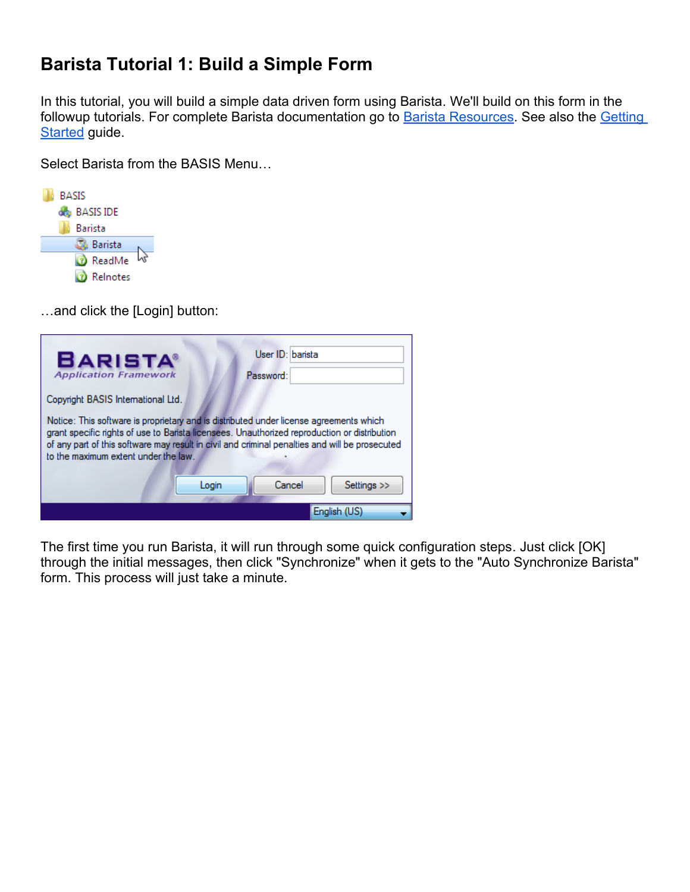# **Barista Tutorial 1: Build a Simple Form**

In this tutorial, you will build a simple data driven form using Barista. We'll build on this form in the followup tutorials. For complete Barista documentation go to **[Barista Resources](http://links.basis.com/baristaref)**. See also the **Getting [Started](http://documentation.basis.com/BaristaDIP/Barista%20Getting%20Started.pdf) guide.** 

Select Barista from the BASIS Menu…



…and click the [Login] button:

| <b>BARISTA®</b><br><b>Application Framework</b>                                                                                                                                                                                                                                                                                  |       | User ID: barista<br>Password: |                |
|----------------------------------------------------------------------------------------------------------------------------------------------------------------------------------------------------------------------------------------------------------------------------------------------------------------------------------|-------|-------------------------------|----------------|
| Copyright BASIS International Ltd.                                                                                                                                                                                                                                                                                               |       |                               |                |
| Notice: This software is proprietary and is distributed under license agreements which<br>grant specific rights of use to Barista licensees. Unauthorized reproduction or distribution<br>of any part of this software may result in civil and criminal penalties and will be prosecuted<br>to the maximum extent under the law. |       |                               |                |
|                                                                                                                                                                                                                                                                                                                                  | Login | Cancel                        | Settings $\gg$ |
|                                                                                                                                                                                                                                                                                                                                  |       |                               | Enalish (US)   |

The first time you run Barista, it will run through some quick configuration steps. Just click [OK] through the initial messages, then click "Synchronize" when it gets to the "Auto Synchronize Barista" form. This process will just take a minute.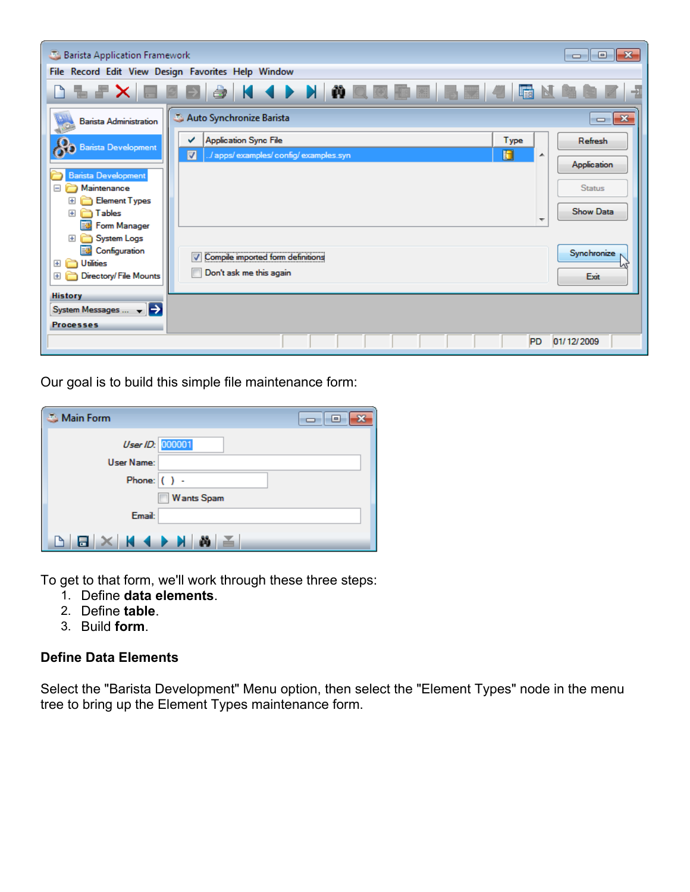| Barista Application Framework                               |                                                                                                                  | - 0 X                  |
|-------------------------------------------------------------|------------------------------------------------------------------------------------------------------------------|------------------------|
|                                                             | File Record Edit View Design Favorites Help Window                                                               |                        |
|                                                             | ▋▚▞▓▏▊▊▊▏░▏▎▎▗▐▕▓▏██▓▓▓▓▓▓▓▓▓▓▓▓▓▓▓                                                                              | E                      |
| <b>Barista Administration</b>                               | Auto Synchronize Barista                                                                                         | $\mathbf{x}$<br>$\Box$ |
| <b>Barista Development</b>                                  | <b>Application Sync File</b><br>Type<br>✓<br>Ю<br>$\overline{\mathbf{v}}$<br>/ apps/examples/config/examples.syn | Refresh<br>▲           |
| Barista Development                                         |                                                                                                                  | Application            |
| Maintenance<br>Ξ<br>Element Types<br>$+$                    |                                                                                                                  | <b>Status</b>          |
| Tables<br>Ŧ<br>Form Manager                                 |                                                                                                                  | <b>Show Data</b>       |
| System Logs<br>$+$<br>Configuration                         |                                                                                                                  | Synchronize            |
| El <b>Co</b> Utilities<br>Directory/File Mounts<br>$+$<br>n | Compile imported form definitions<br>⊽<br>Don't ask me this again                                                | Exit                   |
| <b>History</b>                                              |                                                                                                                  |                        |
| System Messages $\leftarrow$ $\rightarrow$                  |                                                                                                                  |                        |
| <b>Processes</b>                                            |                                                                                                                  |                        |
|                                                             | <b>PD</b>                                                                                                        | 01/12/2009             |

Our goal is to build this simple file maintenance form:

| <b>Main Form</b>                   | -- - - |
|------------------------------------|--------|
| User ID: 000001                    |        |
| User Name:                         |        |
| Phone: $( )$ .                     |        |
| Wants Spam                         |        |
| Email:                             |        |
| $B \times$ $A \rightarrow$ $M$ $B$ |        |

To get to that form, we'll work through these three steps:

- 1. Define **data elements**.
- 2. Define **table**.
- 3. Build **form**.

# **Define Data Elements**

Select the "Barista Development" Menu option, then select the "Element Types" node in the menu tree to bring up the Element Types maintenance form.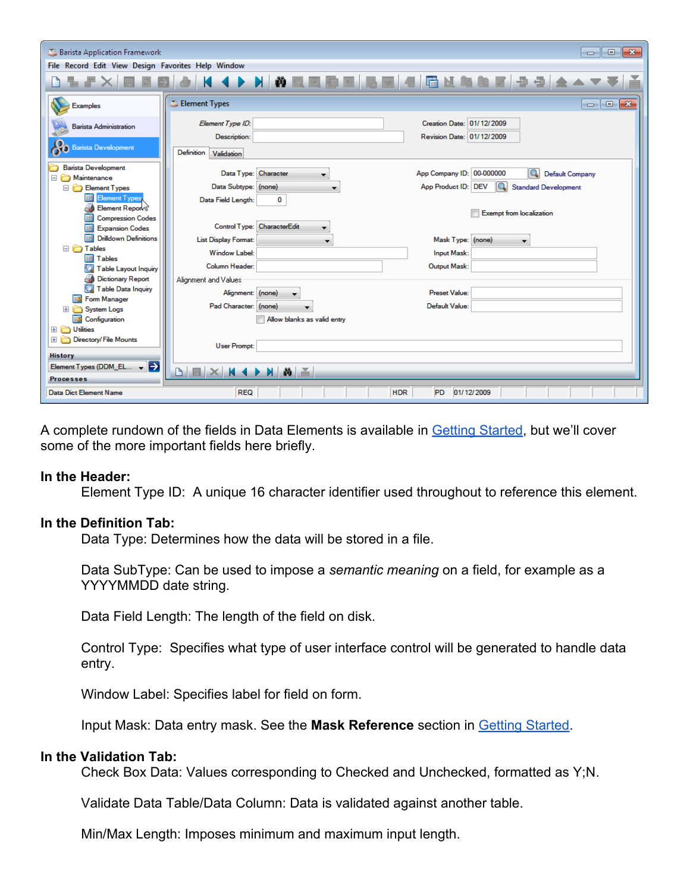| Barista Application Framework                      |                                                                                                            |
|----------------------------------------------------|------------------------------------------------------------------------------------------------------------|
| File Record Edit View Design Favorites Help Window |                                                                                                            |
|                                                    | 8 K 4 D N N N N N N N B N 5 H 4 5 N & 8 N 9 3 4 A V                                                        |
| <b>Examples</b>                                    | Element Types<br>$\overline{\mathbf{x}}$<br>$-1$                                                           |
| <b>Barista Administration</b>                      | Creation Date: 01/12/2009<br>Element Type ID:<br>Revision Date: 01/12/2009<br>Description:                 |
| <b>Barista Development</b>                         | <b>Definition</b><br>Validation                                                                            |
| <b>Barista Development</b><br>Maintenance<br>Ξ     | App Company ID: 00-000000<br>Q<br>Data Type: Character<br><b>Default Company</b>                           |
| Element Types<br>輔<br><b>Element Types</b>         | Q<br>App Product ID: DEV<br>Data Subtype: (none)<br><b>Standard Development</b><br>Data Field Length:<br>0 |
| Element Report<br><b>Compression Codes</b><br>EĦ   | <b>Exempt from localization</b>                                                                            |
| EĦ<br><b>Expansion Codes</b>                       | Control Type: CharacterEdit                                                                                |
| <b>Drilldown Definitions</b><br>語<br>□ n Tables    | Mask Type: (none)<br>List Display Format:<br>$\overline{\phantom{a}}$                                      |
| 事<br>Tables                                        | <b>Window Label:</b><br><b>Input Mask:</b>                                                                 |
| <b>Table Layout Inquiry</b>                        | Column Header:<br>Output Mask:                                                                             |
| <b>Dictionary Report</b>                           | Alignment and Values                                                                                       |
| Table Data Inquiry<br><b>Form Manager</b><br>BB    | <b>Preset Value:</b><br>Alignment: (none)                                                                  |
| <b>System Logs</b>                                 | Pad Character: (none)<br>Default Value:                                                                    |
| <b>EX Configuration</b>                            | Allow blanks as valid entry                                                                                |
| El <b>C</b> Utilities<br>Directory/ File Mounts    |                                                                                                            |
| $+$                                                | <b>User Prompt:</b>                                                                                        |
| <b>History</b>                                     |                                                                                                            |
| Element Types (DDM_EL $\arrow$                     | $M$ $\&$ $\le$<br>$\mathbb{R} \times \mathbb{R}$ + $\rightarrow$<br>P.                                     |
| <b>Processes</b>                                   |                                                                                                            |
| Data Dict Element Name                             | <b>REQ</b><br><b>HDR</b><br><b>PD</b><br>01/12/2009                                                        |

A complete rundown of the fields in Data Elements is available in **[Getting Started](http://documentation.basis.com/BaristaDIP/Barista%20Getting%20Started.pdf)**[,](http://www.basis.com/products/devtools/barista/documentation/barista_getting_started.pdf) but we'll cover some of the more important fields here briefly.

#### **In the Header:**

Element Type ID: A unique 16 character identifier used throughout to reference this element.

#### **In the Definition Tab:**

Data Type: Determines how the data will be stored in a file.

Data SubType: Can be used to impose a *semantic meaning* on a field, for example as a YYYYMMDD date string.

Data Field Length: The length of the field on disk.

Control Type: Specifies what type of user interface control will be generated to handle data entry.

Window Label: Specifies label for field on form.

Input Mask: Data entry mask. See the **Mask Reference** section in [Getting Started.](http://documentation.basis.com/BaristaDIP/Barista%20Getting%20Started.pdf)

#### **In the Validation Tab:**

Check Box Data: Values corresponding to Checked and Unchecked, formatted as Y;N.

Validate Data Table/Data Column: Data is validated against another table.

Min/Max Length: Imposes minimum and maximum input length.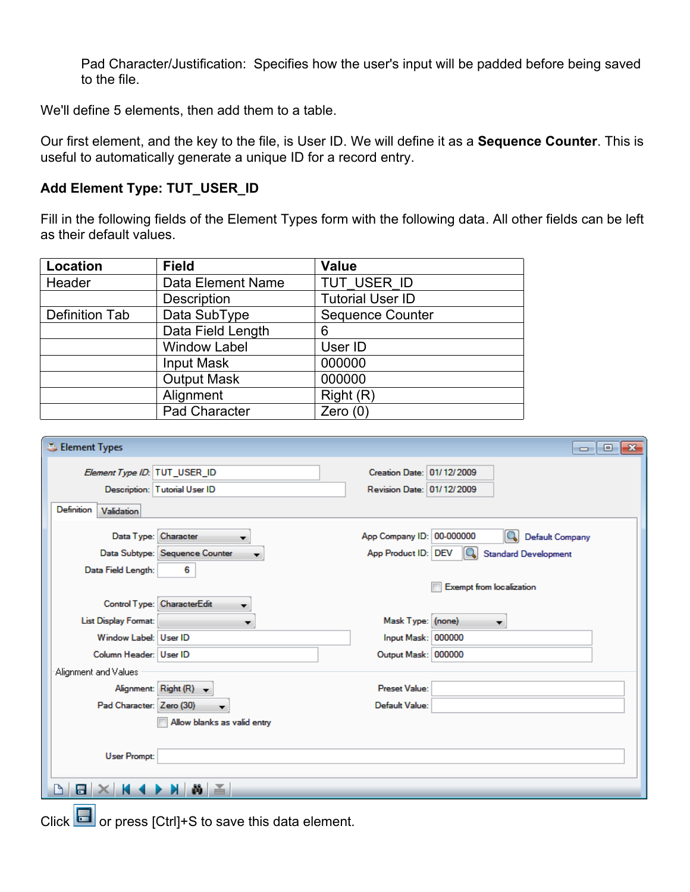Pad Character/Justification: Specifies how the user's input will be padded before being saved to the file.

We'll define 5 elements, then add them to a table.

Our first element, and the key to the file, is User ID. We will define it as a **Sequence Counter**. This is useful to automatically generate a unique ID for a record entry.

## **Add Element Type: TUT\_USER\_ID**

Fill in the following fields of the Element Types form with the following data. All other fields can be left as their default values.

| Location       | <b>Field</b>        | <b>Value</b>            |
|----------------|---------------------|-------------------------|
| Header         | Data Element Name   | TUT USER ID             |
|                | Description         | <b>Tutorial User ID</b> |
| Definition Tab | Data SubType        | <b>Sequence Counter</b> |
|                | Data Field Length   | 6                       |
|                | <b>Window Label</b> | User ID                 |
|                | Input Mask          | 000000                  |
|                | <b>Output Mask</b>  | 000000                  |
|                | Alignment           | Right(R)                |
|                | Pad Character       | Zero $(0)$              |

| Element Types                                                                     | $\Box$ $\Box$ X                                                                                             |
|-----------------------------------------------------------------------------------|-------------------------------------------------------------------------------------------------------------|
| Element Type ID: TUT_USER_ID<br>Description: Tutorial User ID                     | Creation Date: 01/12/2009<br>Revision Date: 01/12/2009                                                      |
| Definition<br>Validation                                                          |                                                                                                             |
| Data Type: Character<br>Data Subtype: Sequence Counter<br>Data Field Length:<br>6 | App Company ID: 00-000000<br><b>Default Company</b><br><b>Q</b> Standard Development<br>App Product ID: DEV |
| Control Type: CharacterEdit                                                       | <b>Exempt from localization</b>                                                                             |
| <b>List Display Format:</b><br>$\overline{\phantom{a}}$                           | Mask Type: (none)<br>$\overline{\phantom{a}}$                                                               |
| Window Label: User ID                                                             | Input Mask: 000000                                                                                          |
| Column Header: User ID<br>Alignment and Values                                    | Output Mask: 000000                                                                                         |
| Alignment: Right (R) +                                                            | Preset Value:                                                                                               |
| Pad Character: Zero (30)<br>▼<br>Allow blanks as valid entry                      | Default Value:                                                                                              |
| <b>User Prompt:</b>                                                               |                                                                                                             |
|                                                                                   |                                                                                                             |

Click  $\Box$  or press [Ctrl]+S to save this data element.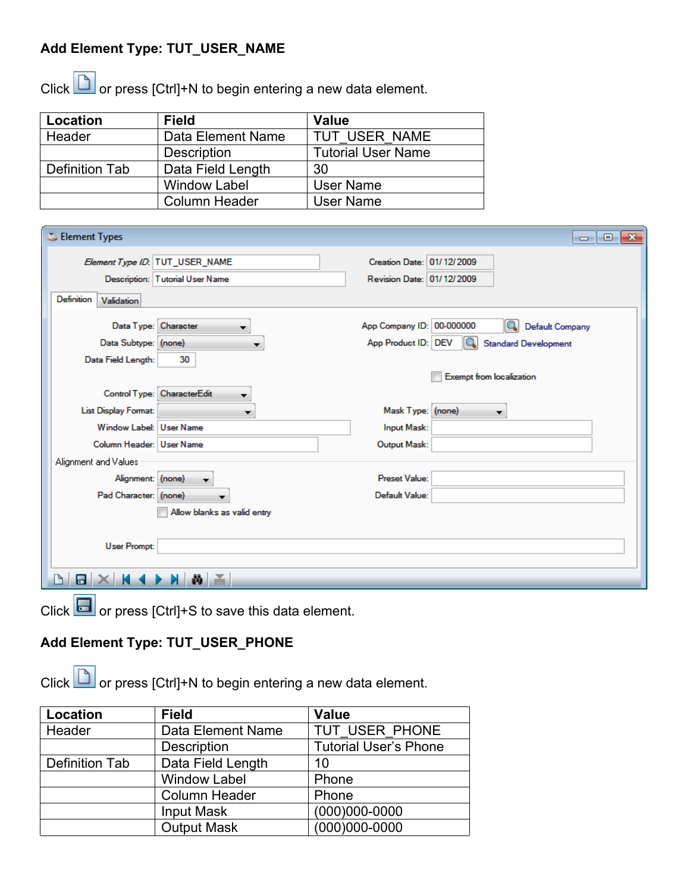# **Add Element Type: TUT\_USER\_NAME**

Click  $\Box$  or press [Ctrl]+N to begin entering a new data element.

| Location       | <b>Field</b>        | <b>Value</b>              |
|----------------|---------------------|---------------------------|
| Header         | Data Element Name   | TUT USER NAME             |
|                | <b>Description</b>  | <b>Tutorial User Name</b> |
| Definition Tab | Data Field Length   | 30                        |
|                | <b>Window Label</b> | <b>User Name</b>          |
|                | Column Header       | <b>User Name</b>          |

| Element Types                                |                                 |                                                  | $-x$<br><del>- 10</del>                               |
|----------------------------------------------|---------------------------------|--------------------------------------------------|-------------------------------------------------------|
| Element Type ID: TUT_USER_NAME               |                                 | Creation Date: 01/12/2009                        |                                                       |
|                                              | Description: Tutorial User Name | Revision Date: 01/12/2009                        |                                                       |
| Definition<br>Validation                     |                                 |                                                  |                                                       |
| Data Type: Character<br>Data Subtype: (none) |                                 | App Company ID: 00-000000<br>App Product ID: DEV | Default Company<br>10.<br><b>Standard Development</b> |
| Data Field Length:                           | 30                              |                                                  | <b>Exempt from localization</b>                       |
| Control Type: CharacterEdit                  | ▼                               |                                                  |                                                       |
| <b>List Display Format:</b>                  | ▼                               | Mask Type: (none)                                |                                                       |
| Window Label: User Name                      |                                 | Input Mask:                                      |                                                       |
| Column Header: User Name                     |                                 | Output Mask:                                     |                                                       |
| Alignment and Values                         |                                 |                                                  |                                                       |
| Alignment: (none)                            | ▼                               | <b>Preset Value:</b>                             |                                                       |
| Pad Character: (none)                        |                                 | Default Value:                                   |                                                       |
|                                              | Allow blanks as valid entry     |                                                  |                                                       |
| <b>User Prompt:</b>                          |                                 |                                                  |                                                       |
|                                              |                                 |                                                  |                                                       |

Click  $\Box$  or press [Ctrl]+S to save this data element.

# **Add Element Type: TUT\_USER\_PHONE**

Click  $\Box$  or press [Ctrl]+N to begin entering a new data element.

| Location       | <b>Field</b>         | <b>Value</b>                 |
|----------------|----------------------|------------------------------|
| Header         | Data Element Name    | TUT USER PHONE               |
|                | Description          | <b>Tutorial User's Phone</b> |
| Definition Tab | Data Field Length    | 10                           |
|                | <b>Window Label</b>  | Phone                        |
|                | <b>Column Header</b> | Phone                        |
|                | <b>Input Mask</b>    | $(000)000 - 0000$            |
|                | <b>Output Mask</b>   | $(000)000 - 0000$            |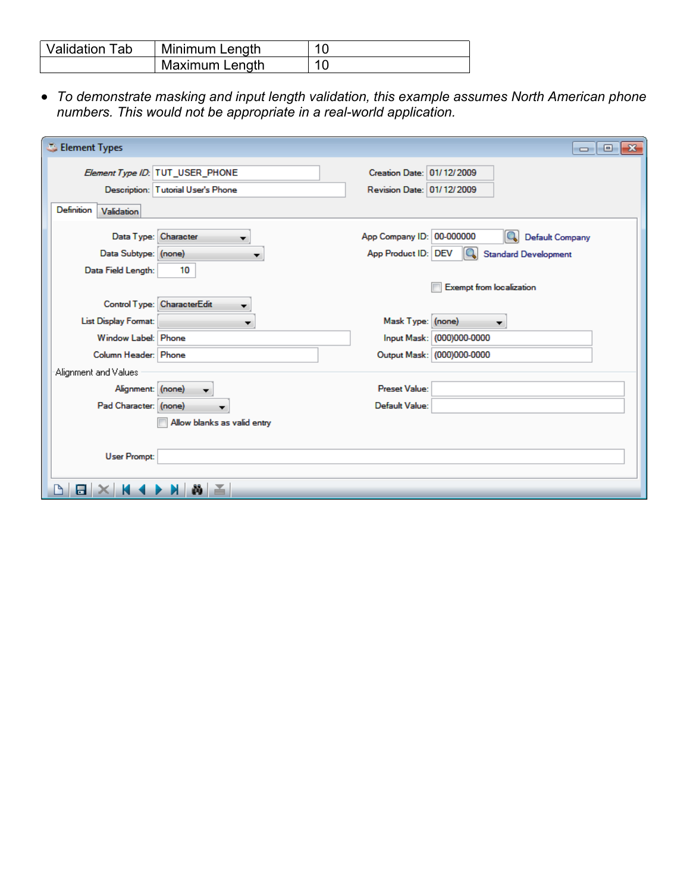| <b>Validation Tab</b> | Minimum Length |  |
|-----------------------|----------------|--|
|                       | Maximum Length |  |

● *To demonstrate masking and input length validation, this example assumes North American phone numbers. This would not be appropriate in a real-world application.*

| Element Types               |                                    |                           | $-23$<br>$\oplus$<br>$\Box$            |
|-----------------------------|------------------------------------|---------------------------|----------------------------------------|
|                             | Element Type ID: TUT_USER_PHONE    | Creation Date: 01/12/2009 |                                        |
|                             | Description: Tutorial User's Phone | Revision Date: 01/12/2009 |                                        |
| Definition<br>Validation    |                                    |                           |                                        |
| Data Type: Character        |                                    | App Company ID: 00-000000 | $\mathbf{Q}$<br><b>Default Company</b> |
| Data Subtype: (none)        |                                    | App Product ID: DEV       | IQ.<br><b>Standard Development</b>     |
| Data Field Length:          | 10                                 |                           |                                        |
|                             |                                    |                           | <b>Exempt from localization</b>        |
|                             | Control Type: CharacterEdit        |                           |                                        |
| <b>List Display Format:</b> |                                    | Mask Type: (none)         | ▼                                      |
| Window Label: Phone         |                                    |                           | Input Mask: (000)000-0000              |
| Column Header: Phone        |                                    |                           | Output Mask: (000)000-0000             |
| Alignment and Values        |                                    |                           |                                        |
| Alignment: (none)           |                                    | Preset Value:             |                                        |
| Pad Character: (none)       |                                    | Default Value:            |                                        |
|                             | Allow blanks as valid entry        |                           |                                        |
|                             |                                    |                           |                                        |
| <b>User Prompt:</b>         |                                    |                           |                                        |
|                             |                                    |                           |                                        |
| 믐                           | ¥.                                 |                           |                                        |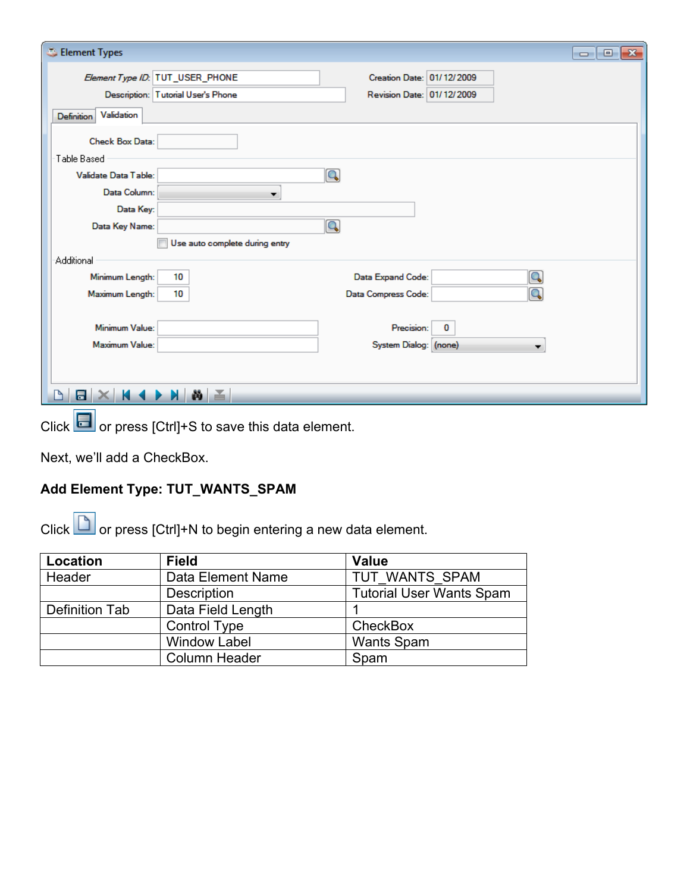| Element Types                      | $\mathbf{x}$<br>$\overline{\phantom{a}}$ $\overline{\phantom{a}}$ |
|------------------------------------|-------------------------------------------------------------------|
| Element Type ID: TUT_USER_PHONE    | Creation Date: 01/12/2009                                         |
| Description: Tutorial User's Phone | Revision Date: 01/12/2009                                         |
| Validation<br><b>Definition</b>    |                                                                   |
| Check Box Data:                    |                                                                   |
| Table Based                        |                                                                   |
| Validate Data Table:               | $\overline{\mathbf{Q}}$                                           |
| Data Column:<br>▼                  |                                                                   |
| Data Key:                          |                                                                   |
| Data Key Name:                     | $\boxed{\mathbf{Q}}$                                              |
| Use auto complete during entry     |                                                                   |
| Additional                         |                                                                   |
| Minimum Length:<br>10              | Data Expand Code:                                                 |
| 10<br>Maximum Length:              | Q<br>Data Compress Code:                                          |
|                                    |                                                                   |
| Minimum Value:                     | Precision:<br>0                                                   |
| Maximum Value:                     | System Dialog: (none)                                             |
|                                    |                                                                   |
|                                    |                                                                   |
| $N \geq$<br>日                      |                                                                   |

Click **or press** [Ctrl]+S to save this data element.

Next, we'll add a CheckBox.

# **Add Element Type: TUT\_WANTS\_SPAM**

Click  $\Box$  or press [Ctrl]+N to begin entering a new data element.

| Location       | <b>Field</b>         | <b>Value</b>                    |
|----------------|----------------------|---------------------------------|
| Header         | Data Element Name    | TUT WANTS SPAM                  |
|                | <b>Description</b>   | <b>Tutorial User Wants Spam</b> |
| Definition Tab | Data Field Length    |                                 |
|                | <b>Control Type</b>  | <b>CheckBox</b>                 |
|                | <b>Window Label</b>  | <b>Wants Spam</b>               |
|                | <b>Column Header</b> | Spam                            |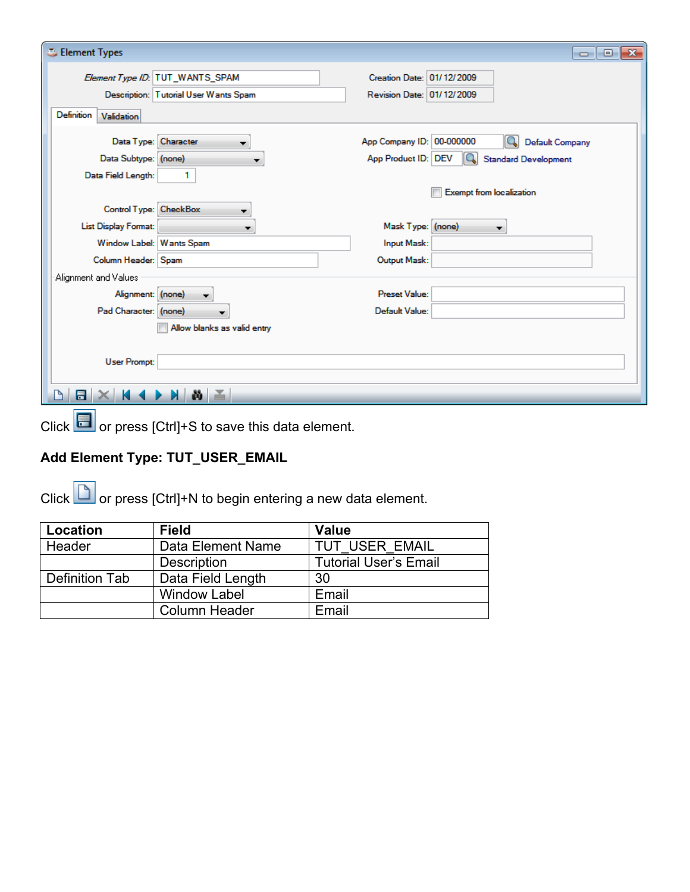| Element Types                                |                                       |                                                  | $-x$<br>$-1$                                                    |
|----------------------------------------------|---------------------------------------|--------------------------------------------------|-----------------------------------------------------------------|
|                                              | Element Type ID: TUT_WANTS_SPAM       | Creation Date: 01/12/2009                        |                                                                 |
|                                              | Description: Tutorial User Wants Spam | Revision Date: 01/12/2009                        |                                                                 |
| Definition<br>Validation                     |                                       |                                                  |                                                                 |
| Data Type: Character<br>Data Subtype: (none) | $\mathbf{r}$                          | App Company ID: 00-000000<br>App Product ID: DEV | Q<br><b>Default Company</b><br>Q<br><b>Standard Development</b> |
| Data Field Length:                           | 1                                     |                                                  |                                                                 |
|                                              |                                       |                                                  | <b>Exempt from localization</b>                                 |
| Control Type: CheckBox                       |                                       |                                                  |                                                                 |
| <b>List Display Format:</b>                  | ▼                                     | Mask Type: (none)                                | ▼                                                               |
| Window Label: Wants Spam                     |                                       | Input Mask:                                      |                                                                 |
| Column Header: Spam                          |                                       | Output Mask:                                     |                                                                 |
| Alignment and Values                         |                                       |                                                  |                                                                 |
| Alignment: (none)                            | $\blacktriangledown$                  | Preset Value:                                    |                                                                 |
| Pad Character: (none)                        |                                       | Default Value:                                   |                                                                 |
|                                              | Allow blanks as valid entry           |                                                  |                                                                 |
| <b>User Prompt:</b>                          |                                       |                                                  |                                                                 |
| E                                            | ≚<br>ŵ                                |                                                  |                                                                 |

Click **or** or press [Ctrl]+S to save this data element.

# **Add Element Type: TUT\_USER\_EMAIL**

Click  $\Box$  or press [Ctrl]+N to begin entering a new data element.

| Location       | <b>Field</b>        | <b>Value</b>                 |
|----------------|---------------------|------------------------------|
| Header         | Data Element Name   | TUT USER EMAIL               |
|                | Description         | <b>Tutorial User's Email</b> |
| Definition Tab | Data Field Length   | 30                           |
|                | <b>Window Label</b> | Email                        |
|                | Column Header       | Email                        |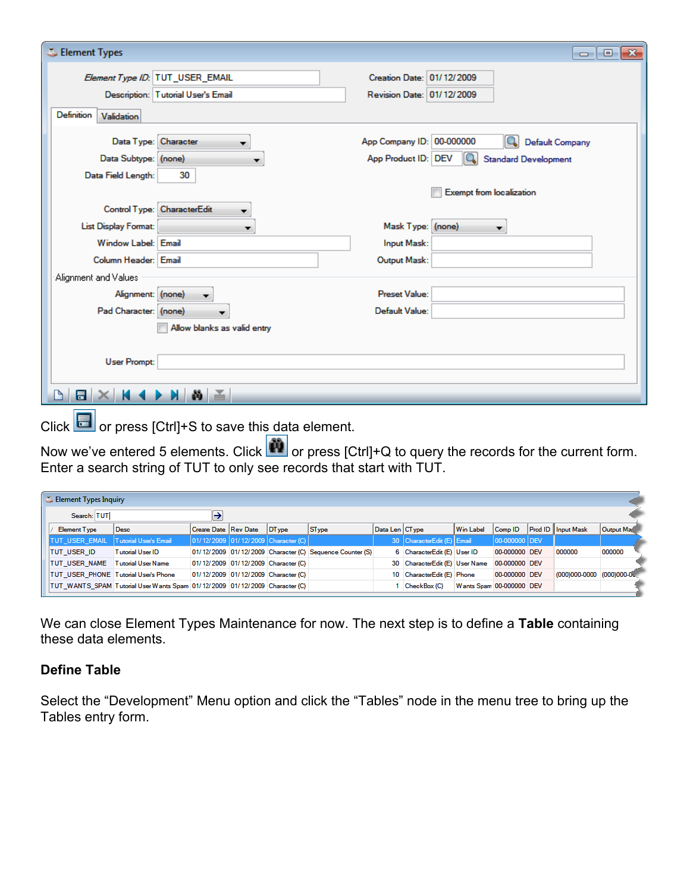| Element Types                                |                                    |                                                  | $-x$<br><del>- 0</del>                                          |
|----------------------------------------------|------------------------------------|--------------------------------------------------|-----------------------------------------------------------------|
| Element Type ID: TUT_USER_EMAIL              |                                    | Creation Date: 01/12/2009                        |                                                                 |
|                                              | Description: Tutorial User's Email | Revision Date: 01/12/2009                        |                                                                 |
| <b>Definition</b><br>Validation              |                                    |                                                  |                                                                 |
| Data Type: Character<br>Data Subtype: (none) | $\mathbf{r}$                       | App Company ID: 00-000000<br>App Product ID: DEV | Q<br><b>Default Company</b><br>Q<br><b>Standard Development</b> |
| Data Field Length:                           | 30                                 |                                                  |                                                                 |
|                                              |                                    |                                                  | <b>Exempt from localization</b>                                 |
| Control Type: CharacterEdit                  |                                    |                                                  |                                                                 |
| List Display Format:                         | $\overline{\phantom{a}}$           | Mask Type: (none)                                | ▼                                                               |
| Window Label: Email                          |                                    | Input Mask:                                      |                                                                 |
| Column Header: Email                         |                                    | Output Mask:                                     |                                                                 |
| Alignment and Values                         |                                    |                                                  |                                                                 |
| Alignment: (none)                            | ▼                                  | <b>Preset Value:</b>                             |                                                                 |
| Pad Character: (none)                        |                                    | Default Value:                                   |                                                                 |
|                                              | Allow blanks as valid entry        |                                                  |                                                                 |
| <b>User Prompt:</b>                          |                                    |                                                  |                                                                 |
| 冒                                            |                                    |                                                  |                                                                 |

Click  $\left[\begin{array}{ccc} 0 & \cdots \end{array}\right]$  or press [Ctrl]+S to save this data element.

Now we've entered 5 elements. Click **The or press [Ctrl]+Q to query the records for the current form.** Enter a search string of TUT to only see records that start with TUT.

|             | Element Types Inquiry                |                                                                             |                      |  |                                     |                                                          |                |                                              |                          |               |                           |           |
|-------------|--------------------------------------|-----------------------------------------------------------------------------|----------------------|--|-------------------------------------|----------------------------------------------------------|----------------|----------------------------------------------|--------------------------|---------------|---------------------------|-----------|
| Search: TUT |                                      |                                                                             |                      |  |                                     |                                                          |                |                                              |                          |               |                           |           |
|             | <b>Element Type</b>                  | Desc                                                                        | Create Date Rev Date |  | DType                               | <b>ST</b> ype                                            | Data Len CType |                                              | Win Label                | Comp ID       | <b>Prod ID</b> Input Mask | Output Ma |
|             | <b>TUT USER EMAIL</b>                | Tutorial User's Email                                                       |                      |  | 01/12/2009 01/12/2009 Character (C) |                                                          |                | 30 CharacterEdit (E) Email                   |                          | 00-000000 DEV |                           |           |
|             | <b>TUT USER ID</b>                   | <b>Tutorial User ID</b>                                                     |                      |  |                                     | 01/12/2009 01/12/2009 Character (C) Sequence Counter (S) |                | 6 CharacterEdit (E) User ID                  |                          | 00-000000 DEV | 000000                    | 000000    |
|             | <b>TUT USER NAME</b>                 | <b>Tutorial User Name</b>                                                   |                      |  | 01/12/2009 01/12/2009 Character (C) |                                                          |                | 30 CharacterEdit (E) User Name 00-000000 DEV |                          |               |                           |           |
|             | TUT USER PHONE Tutorial User's Phone |                                                                             |                      |  | 01/12/2009 01/12/2009 Character (C) |                                                          |                | 10 CharacterEdit (E) Phone                   |                          | 00-000000 DEV | (000)000-0000 (000)000-00 |           |
|             |                                      | TUT_WANTS_SPAM Tutorial User Wants Spam 01/12/2009 01/12/2009 Character (C) |                      |  |                                     |                                                          |                | CheckBox (C)                                 | Wants Spam 00-000000 DEV |               |                           |           |

We can close Element Types Maintenance for now. The next step is to define a **Table** containing these data elements.

#### **Define Table**

Select the "Development" Menu option and click the "Tables" node in the menu tree to bring up the Tables entry form.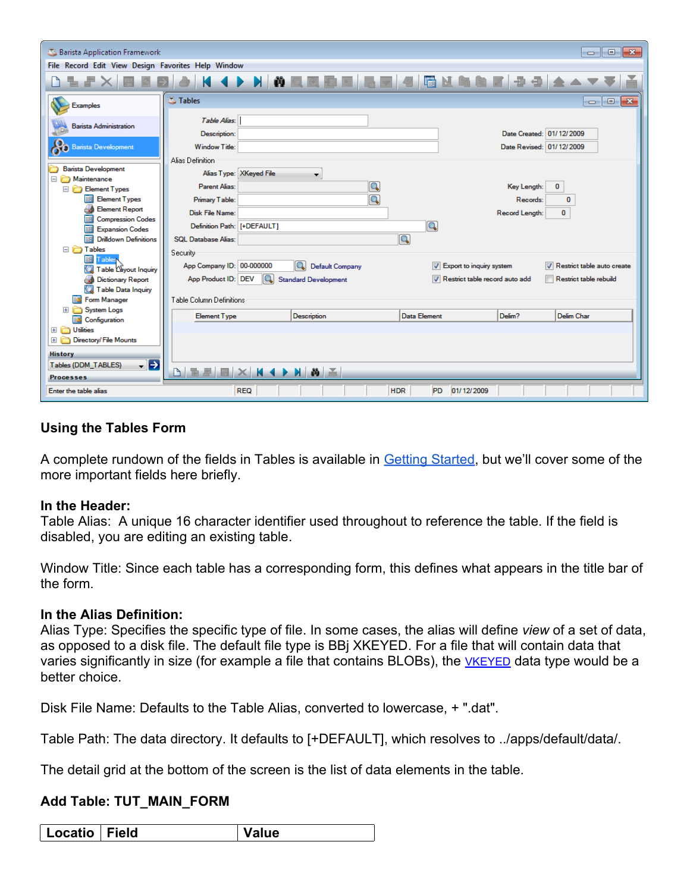| Barista Application Framework<br>$\begin{array}{c c c c c c} \hline \multicolumn{3}{c }{\mathbf{C}} & \multicolumn{3}{c }{\mathbf{C}} & \multicolumn{3}{c }{\mathbf{R}} \\\hline \multicolumn{3}{c }{\mathbf{C}} & \multicolumn{3}{c }{\mathbf{D}} & \multicolumn{3}{c }{\mathbf{R}} \\\hline \multicolumn{3}{c }{\mathbf{D}} & \multicolumn{3}{c }{\mathbf{D}} & \multicolumn{3}{c }{\mathbf{R}} \\\hline \multicolumn{3}{c }{\mathbf{D}} & \multicolumn{3}{c }{\mathbf{D}} & \multicolumn$ |                                                                                                                      |                                |  |  |  |  |
|----------------------------------------------------------------------------------------------------------------------------------------------------------------------------------------------------------------------------------------------------------------------------------------------------------------------------------------------------------------------------------------------------------------------------------------------------------------------------------------------|----------------------------------------------------------------------------------------------------------------------|--------------------------------|--|--|--|--|
| File Record Edit View Design Favorites Help Window                                                                                                                                                                                                                                                                                                                                                                                                                                           |                                                                                                                      |                                |  |  |  |  |
|                                                                                                                                                                                                                                                                                                                                                                                                                                                                                              | K ( ) X ( ) Q 3 6 6 5 5 4 5 4 5 6 7 9 4 6 7                                                                          |                                |  |  |  |  |
| <b>Examples</b>                                                                                                                                                                                                                                                                                                                                                                                                                                                                              | <b>Tables</b><br>$\overline{\phantom{a}}$                                                                            | $\mathbf{x}$<br>$\blacksquare$ |  |  |  |  |
| <b>Barista Administration</b>                                                                                                                                                                                                                                                                                                                                                                                                                                                                | Table Alias:<br>Date Created: 01/12/2009<br>Description:                                                             |                                |  |  |  |  |
| <b>Barista Development</b>                                                                                                                                                                                                                                                                                                                                                                                                                                                                   | Date Revised: 01/12/2009<br>Window Title:                                                                            |                                |  |  |  |  |
| <b>Barista Development</b>                                                                                                                                                                                                                                                                                                                                                                                                                                                                   | Alias Definition<br>Alias Type: XKeyed File                                                                          |                                |  |  |  |  |
| Maintenance<br>Ξ<br>Element Types                                                                                                                                                                                                                                                                                                                                                                                                                                                            | Q<br><b>Parent Alias:</b><br>Key Length:<br>$\mathbf{0}$                                                             |                                |  |  |  |  |
| <b>Element Types</b>                                                                                                                                                                                                                                                                                                                                                                                                                                                                         | Q<br>Primary Table:<br>Records:<br>$\bf{0}$                                                                          |                                |  |  |  |  |
| <b>Element Report</b>                                                                                                                                                                                                                                                                                                                                                                                                                                                                        | <b>Disk File Name:</b><br>Record Length:<br>0                                                                        |                                |  |  |  |  |
| <b>Compression Codes</b><br>EË<br><b>Expansion Codes</b><br>Ea                                                                                                                                                                                                                                                                                                                                                                                                                               | Q<br>Definition Path: [+DEFAULT]                                                                                     |                                |  |  |  |  |
| <b>Drilldown Definitions</b><br>顫                                                                                                                                                                                                                                                                                                                                                                                                                                                            | Q<br><b>SOL Database Alias:</b>                                                                                      |                                |  |  |  |  |
| <b>E</b> Tables                                                                                                                                                                                                                                                                                                                                                                                                                                                                              | Security                                                                                                             |                                |  |  |  |  |
| 輔<br>Tables<br>Table Cayout Inquiry                                                                                                                                                                                                                                                                                                                                                                                                                                                          | App Company ID: 00-000000<br>lQ.<br>Export to inquiry system<br>Restrict table auto create<br><b>Default Company</b> |                                |  |  |  |  |
| <b>Dictionary Report</b>                                                                                                                                                                                                                                                                                                                                                                                                                                                                     | Q<br>App Product ID: DEV<br>Restrict table record auto add<br>Restrict table rebuild<br><b>Standard Development</b>  |                                |  |  |  |  |
| Table Data Inquiry<br>Form Manager<br>53                                                                                                                                                                                                                                                                                                                                                                                                                                                     | Table Column Definitions                                                                                             |                                |  |  |  |  |
| <b>System Logs</b><br>国门                                                                                                                                                                                                                                                                                                                                                                                                                                                                     |                                                                                                                      |                                |  |  |  |  |
| Configuration                                                                                                                                                                                                                                                                                                                                                                                                                                                                                | Delim?<br>Delim Char<br><b>Element Type</b><br>Description<br>Data Element                                           |                                |  |  |  |  |
| El <b>Col</b> Utilities                                                                                                                                                                                                                                                                                                                                                                                                                                                                      |                                                                                                                      |                                |  |  |  |  |
| <b>Directory/File Mounts</b><br>$+$<br>n                                                                                                                                                                                                                                                                                                                                                                                                                                                     |                                                                                                                      |                                |  |  |  |  |
| <b>History</b>                                                                                                                                                                                                                                                                                                                                                                                                                                                                               |                                                                                                                      |                                |  |  |  |  |
| $\mathbf{F}$<br>Tables (DDM_TABLES)                                                                                                                                                                                                                                                                                                                                                                                                                                                          | 4 D N N A<br>B R F                                                                                                   |                                |  |  |  |  |
| <b>Processes</b><br>Enter the table alias                                                                                                                                                                                                                                                                                                                                                                                                                                                    | <b>PD</b><br>01/12/2009<br><b>REQ</b><br><b>HDR</b>                                                                  |                                |  |  |  |  |

### **Using the Tables Form**

A complete rundown of the fields in Tables is available in [Getting Started,](http://documentation.basis.com/BaristaDIP/Barista%20Getting%20Started.pdf) but we'll cover some of the more important fields here briefly.

#### **In the Header:**

Table Alias: A unique 16 character identifier used throughout to reference the table. If the field is disabled, you are editing an existing table.

Window Title: Since each table has a corresponding form, this defines what appears in the title bar of the form.

#### **In the Alias Definition:**

Alias Type: Specifies the specific type of file. In some cases, the alias will define *view* of a set of data, as opposed to a disk file. The default file type is BBj XKEYED. For a file that will contain data that varies significantly in size (for example a file that contains BLOBs), the [VKEYED](http://www.basis.com/advantage/mag-v9n2/vkeyed.html) data type would be a better choice.

Disk File Name: Defaults to the Table Alias, converted to lowercase, + ".dat".

Table Path: The data directory. It defaults to [+DEFAULT], which resolves to ../apps/default/data/.

The detail grid at the bottom of the screen is the list of data elements in the table.

#### **Add Table: TUT\_MAIN\_FORM**

| ield-<br>_ocatio<br>ulue |
|--------------------------|
|--------------------------|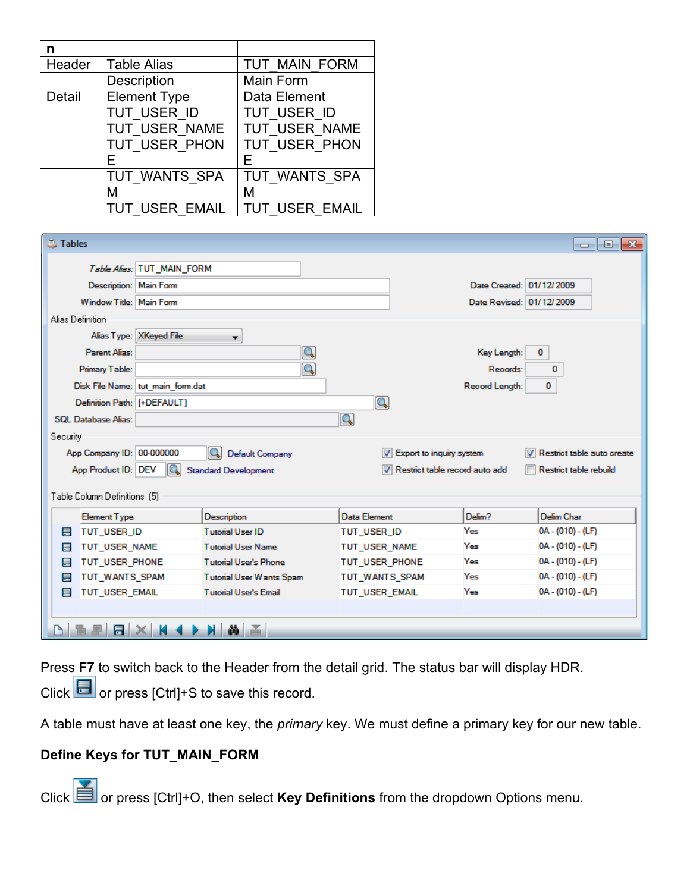| n      |                       |                |
|--------|-----------------------|----------------|
| Header | <b>Table Alias</b>    | TUT MAIN FORM  |
|        | Description           | Main Form      |
| Detail | <b>Element Type</b>   | Data Element   |
|        | TUT USER ID           | TUT USER ID    |
|        | TUT USER NAME         | TUT USER NAME  |
|        | TUT USER PHON         | TUT USER PHON  |
|        | Е                     |                |
|        | TUT WANTS SPA         | TUT WANTS SPA  |
|        | М                     | м              |
|        | <b>TUT USER EMAIL</b> | TUT USER EMAIL |

| <b>S</b> Tables  |                              |                                   |                              |                                |                          | $-x$<br>l-o-<br>$\Box$     |
|------------------|------------------------------|-----------------------------------|------------------------------|--------------------------------|--------------------------|----------------------------|
|                  |                              | Table Alias: TUT_MAIN_FORM        |                              |                                |                          |                            |
|                  | Description: Main Form       |                                   |                              |                                | Date Created: 01/12/2009 |                            |
|                  | Window Title: Main Form      |                                   |                              |                                | Date Revised: 01/12/2009 |                            |
| Alias Definition |                              |                                   |                              |                                |                          |                            |
|                  |                              | Alias Type: XKeyed File           | ▼                            |                                |                          |                            |
|                  | Parent Alias:                |                                   | Q                            |                                | Key Length:              | 0                          |
|                  | Primary Table:               |                                   | Q                            |                                | Records:                 | 0                          |
|                  |                              | Disk File Name: tut main form.dat |                              |                                | Record Length:           | 0                          |
|                  | Definition Path: [+DEFAULT]  |                                   |                              | Q                              |                          |                            |
|                  | <b>SOL Database Alias:</b>   |                                   |                              | Q                              |                          |                            |
| Security         |                              |                                   |                              |                                |                          |                            |
|                  | App Company ID: 00-000000    |                                   | a<br>Default Company         | V Export to inquiry system     |                          | Restrict table auto create |
|                  | App Product ID: DEV          | IQ.                               | <b>Standard Development</b>  | Restrict table record auto add |                          | Restrict table rebuild     |
|                  |                              |                                   |                              |                                |                          |                            |
|                  | Table Column Definitions [5] |                                   |                              |                                |                          |                            |
|                  | <b>Element Type</b>          |                                   | Description                  | Data Element                   | Delim?                   | Delim Char                 |
| 昌                | TUT USER ID                  |                                   | <b>Tutorial User ID</b>      | TUT USER ID                    | Yes                      | $0A - (010) - (LF)$        |
| 目                | TUT USER NAME                |                                   | <b>Tutorial User Name</b>    | TUT USER NAME                  | Yes                      | $0A - (010) - (LF)$        |
| 目                | TUT_USER_PHONE               |                                   | <b>Tutorial User's Phone</b> | TUT_USER_PHONE                 | Yes                      | $0A - (010) - (LF)$        |
| 目                | TUT WANTS SPAM               | <b>Tutorial User Wants Spam</b>   |                              | TUT WANTS SPAM                 | Yes                      | $0A - (010) - (LF)$        |
| 昌                | <b>TUT USER EMAIL</b>        |                                   | <b>Tutorial User's Email</b> | <b>TUT USER EMAIL</b>          | Yes                      | $0A - (010) - (LF)$        |
|                  |                              |                                   |                              |                                |                          |                            |
|                  |                              |                                   | œз                           |                                |                          |                            |

Press **F7** to switch back to the Header from the detail grid. The status bar will display HDR.

Click  $\Box$  or press [Ctrl]+S to save this record.

A table must have at least one key, the *primary* key. We must define a primary key for our new table.

# **Define Keys for TUT\_MAIN\_FORM**

Click **or** press [Ctrl]+O, then select **Key Definitions** from the dropdown Options menu.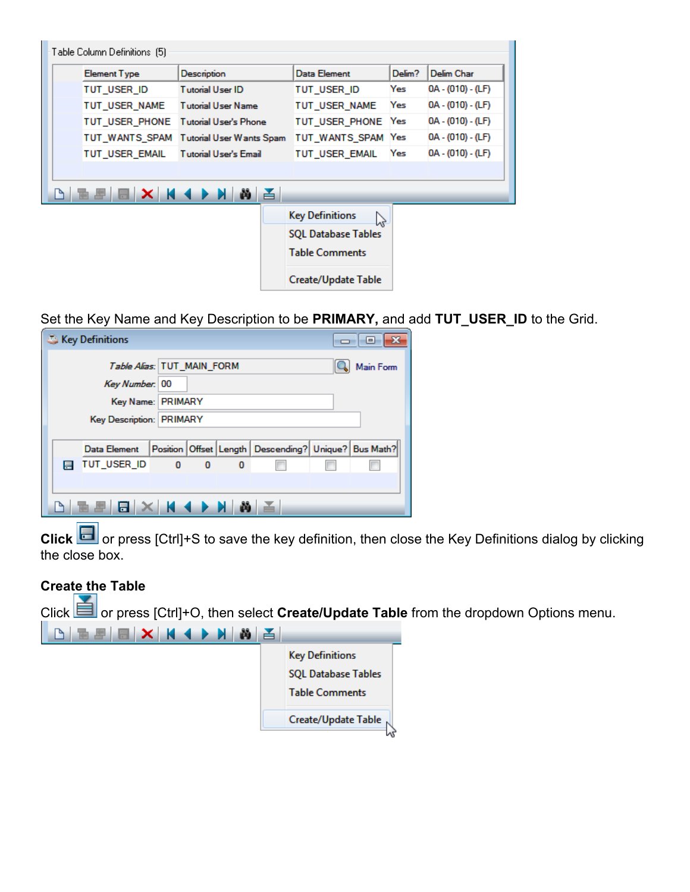| <b>Element Type</b> | Description                  | Data Element                    | Delim? | <b>Delim Char</b>   |
|---------------------|------------------------------|---------------------------------|--------|---------------------|
| TUT USER ID         | <b>Tutorial User ID</b>      | tut user id                     | Yes    | $0A - (010) - (LF)$ |
| TUT USER NAME       | <b>Tutorial User Name</b>    | TUT USER NAME                   | Yes    | $0A - (010) - (LF)$ |
| TUT USER PHONE      | <b>Tutorial User's Phone</b> | TUT USER PHONE                  | Yes    | $0A - (010) - (LF)$ |
| TUT WANTS SPAM      | Tutorial User Wants Spam     | TUT WANTS SPAM Yes              |        | $0A - (010) - (LF)$ |
| TUT USER EMAIL      | <b>Tutorial User's Email</b> | TUT USER EMAIL                  | Yes    | 0A - (010) - (LF)   |
|                     |                              |                                 |        |                     |
| X H                 | $\rightarrow$ H<br>首         |                                 |        |                     |
|                     |                              | <b>Key Definitions</b>          |        |                     |
|                     |                              | じ<br><b>SQL Database Tables</b> |        |                     |
|                     |                              | <b>Table Comments</b>           |        |                     |

Set the Key Name and Key Description to be **PRIMARY,** and add **TUT\_USER\_ID** to the Grid.

|   | Key Definitions                                             |  |                            |          |                                                                |  | $\overline{\phantom{a}}$ $\overline{\phantom{a}}$ |  |  |
|---|-------------------------------------------------------------|--|----------------------------|----------|----------------------------------------------------------------|--|---------------------------------------------------|--|--|
|   | Key Number: 00                                              |  | Table Alias: TUT_MAIN_FORM |          |                                                                |  | Main Form                                         |  |  |
|   |                                                             |  | Key Name: PRIMARY          |          |                                                                |  |                                                   |  |  |
|   | Key Description: PRIMARY                                    |  |                            |          |                                                                |  |                                                   |  |  |
|   | Data Element                                                |  |                            |          | Position   Offset   Length   Descending?   Unique?   Bus Math? |  |                                                   |  |  |
| E | TUT_USER_ID                                                 |  | $0\qquad 0$                | $\bf{0}$ |                                                                |  |                                                   |  |  |
|   |                                                             |  |                            |          |                                                                |  |                                                   |  |  |
|   | $ \mathbf{E} \times$ $ \mathbf{A} \times$ $ \mathbf{B} \le$ |  |                            |          |                                                                |  |                                                   |  |  |

**Click** or press [Ctrl]+S to save the key definition, then close the Key Definitions dialog by clicking the close box.

## **Create the Table**

Click **or** or press [Ctrl]+O, then select **Create/Update Table** from the dropdown Options menu. **Key Definitions** 

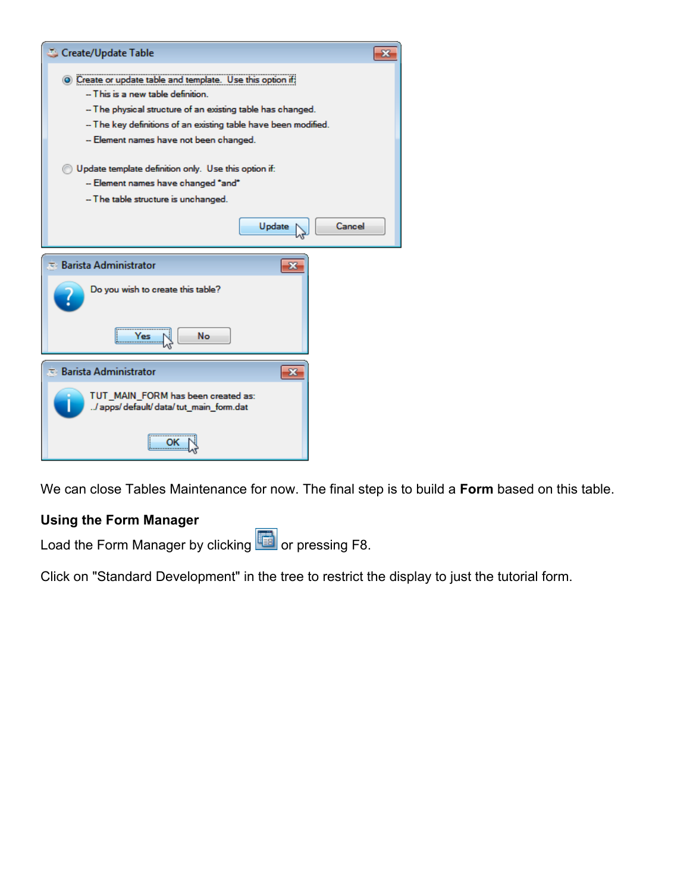| Create/Update Table                                                                             |        |  |  |  |  |  |
|-------------------------------------------------------------------------------------------------|--------|--|--|--|--|--|
| • Create or update table and template. Use this option if<br>-- This is a new table definition. |        |  |  |  |  |  |
| - The physical structure of an existing table has changed.                                      |        |  |  |  |  |  |
| -- The key definitions of an existing table have been modified.                                 |        |  |  |  |  |  |
| -- Element names have not been changed.                                                         |        |  |  |  |  |  |
|                                                                                                 |        |  |  |  |  |  |
| Update template definition only. Use this option if:                                            |        |  |  |  |  |  |
| -- Element names have changed "and"                                                             |        |  |  |  |  |  |
| -- The table structure is unchanged.                                                            |        |  |  |  |  |  |
| Update                                                                                          | Cancel |  |  |  |  |  |
| $\overline{\cdot}$ Barista Administrator<br>$\mathbf{x}$                                        |        |  |  |  |  |  |
| Do you wish to create this table?                                                               |        |  |  |  |  |  |
| No<br>Yes                                                                                       |        |  |  |  |  |  |
| $\pm$ Barista Administrator<br>$\mathbf{x}$                                                     |        |  |  |  |  |  |
| TUT MAIN FORM has been created as:<br>/ apps/ default/ data/ tut_main_form.dat                  |        |  |  |  |  |  |
|                                                                                                 |        |  |  |  |  |  |

We can close Tables Maintenance for now. The final step is to build a **Form** based on this table.

# **Using the Form Manager**

Load the Form Manager by clicking **TH** or pressing F8.

Click on "Standard Development" in the tree to restrict the display to just the tutorial form.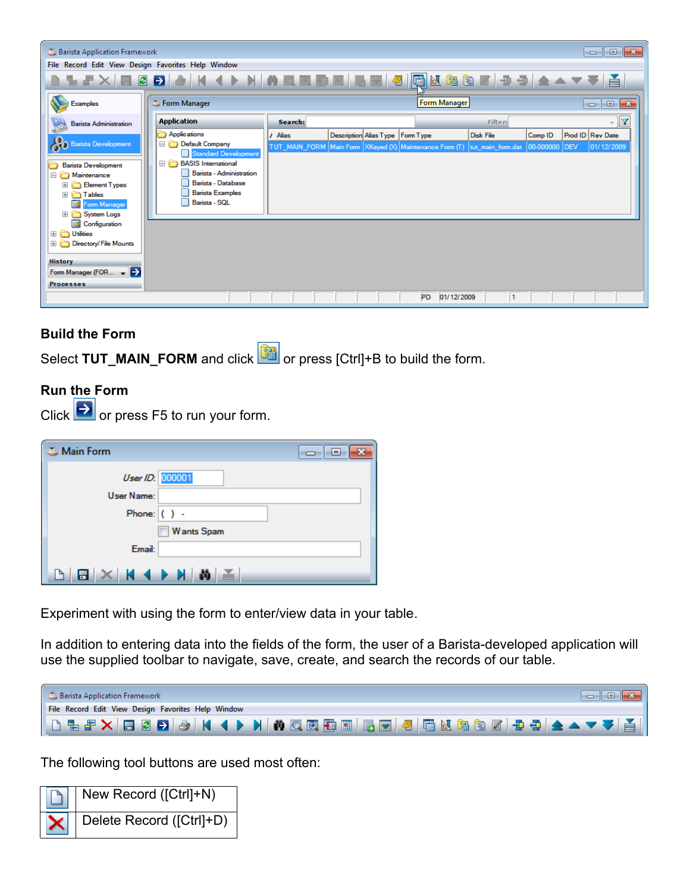| Barista Application Framework                      |                                                                                                    |         |                                    |                                                                            |                  |                         | $\begin{array}{c c c c c c} \hline \multicolumn{3}{c }{\mathbf{C}} & \multicolumn{3}{c }{\mathbf{S}} & \multicolumn{3}{c }{\mathbf{S}} & \multicolumn{3}{c }{\mathbf{S}} & \multicolumn{3}{c }{\mathbf{S}} & \multicolumn{3}{c }{\mathbf{S}} & \multicolumn{3}{c }{\mathbf{S}} & \multicolumn{3}{c }{\mathbf{S}} & \multicolumn{3}{c }{\mathbf{S}} & \multicolumn{3}{c }{\mathbf{S}} & \multicolumn{3}{c }{\mathbf{S}} & \multicolumn{3}{c }{\mathbf$ |
|----------------------------------------------------|----------------------------------------------------------------------------------------------------|---------|------------------------------------|----------------------------------------------------------------------------|------------------|-------------------------|-------------------------------------------------------------------------------------------------------------------------------------------------------------------------------------------------------------------------------------------------------------------------------------------------------------------------------------------------------------------------------------------------------------------------------------------------------|
| File Record Edit View Design Favorites Help Window |                                                                                                    |         |                                    |                                                                            |                  |                         |                                                                                                                                                                                                                                                                                                                                                                                                                                                       |
|                                                    | <u>▋▜▗▛▓▕▊◙▅▎</u> ▅▕▕▎◀▐▘▕▏▏▓▐▁█▊█▏█▐█▎ <mark>▜▏</mark> ▐█▎▓░░░▓░▓░▓░▓░▓▎▅▅▎ <del>▁</del> ▗▝▝▝▘▎▟▏ |         |                                    |                                                                            |                  |                         |                                                                                                                                                                                                                                                                                                                                                                                                                                                       |
| <b>Examples</b>                                    | <b>S</b> Form Manager                                                                              |         |                                    | Form Manager                                                               |                  |                         | $\mathbf{x}$<br>$\Box$<br>$\Box$                                                                                                                                                                                                                                                                                                                                                                                                                      |
| <b>Barista Administration</b>                      | <b>Application</b>                                                                                 | Search: |                                    |                                                                            | <b>Filter:</b>   |                         | Y                                                                                                                                                                                                                                                                                                                                                                                                                                                     |
|                                                    | <b>Applications</b>                                                                                | Alias   | Description Alias Type   Form Type |                                                                            | <b>Disk File</b> | Comp ID                 | Prod ID Rev Date                                                                                                                                                                                                                                                                                                                                                                                                                                      |
| <b>Barista Development</b>                         | Default Company<br>Standard Development                                                            |         |                                    | TUT_MAIN_FORM Main Form XKeyed (X) Maintenance Form (T)  tut_main_form.dat |                  | 00-000000<br><b>DEV</b> | 01/12/2009                                                                                                                                                                                                                                                                                                                                                                                                                                            |
| <b>Barista Development</b>                         | <b>BASIS</b> International                                                                         |         |                                    |                                                                            |                  |                         |                                                                                                                                                                                                                                                                                                                                                                                                                                                       |
| Maintenance                                        | Barista - Administration                                                                           |         |                                    |                                                                            |                  |                         |                                                                                                                                                                                                                                                                                                                                                                                                                                                       |
| Element Types<br>E <b>C</b> Tables                 | Barista - Database<br><b>Barista Examples</b>                                                      |         |                                    |                                                                            |                  |                         |                                                                                                                                                                                                                                                                                                                                                                                                                                                       |
| 國<br>Form Manager                                  | Barista - SOL                                                                                      |         |                                    |                                                                            |                  |                         |                                                                                                                                                                                                                                                                                                                                                                                                                                                       |
| <b>El</b> System Logs                              |                                                                                                    |         |                                    |                                                                            |                  |                         |                                                                                                                                                                                                                                                                                                                                                                                                                                                       |
| Configuration<br>El <b>C</b> Utilities             |                                                                                                    |         |                                    |                                                                            |                  |                         |                                                                                                                                                                                                                                                                                                                                                                                                                                                       |
| Directory/File Mounts                              |                                                                                                    |         |                                    |                                                                            |                  |                         |                                                                                                                                                                                                                                                                                                                                                                                                                                                       |
|                                                    |                                                                                                    |         |                                    |                                                                            |                  |                         |                                                                                                                                                                                                                                                                                                                                                                                                                                                       |
| <b>History</b><br>Form Manager (FOR v              |                                                                                                    |         |                                    |                                                                            |                  |                         |                                                                                                                                                                                                                                                                                                                                                                                                                                                       |
| <b>Processes</b>                                   |                                                                                                    |         |                                    |                                                                            |                  |                         |                                                                                                                                                                                                                                                                                                                                                                                                                                                       |
|                                                    |                                                                                                    |         |                                    | 01/12/2009<br>P <sub>D</sub>                                               |                  |                         |                                                                                                                                                                                                                                                                                                                                                                                                                                                       |
|                                                    |                                                                                                    |         |                                    |                                                                            |                  |                         |                                                                                                                                                                                                                                                                                                                                                                                                                                                       |

### **Build the Form**

Select **TUT\_MAIN\_FORM** and click **or** press [Ctrl]+B to build the form.

## **Run the Form**

Click  $\rightarrow$  or press F5 to run your form.

| Main Form                            | ——1—1 |
|--------------------------------------|-------|
| User ID: 000001                      |       |
| User Name:                           |       |
| Phone: $( )$ -                       |       |
| Wants Spam                           |       |
| Email:                               |       |
| $\times$ $\times$ $\times$<br>舌<br>Ħ |       |

Experiment with using the form to enter/view data in your table.

In addition to entering data into the fields of the form, the user of a Barista-developed application will use the supplied toolbar to navigate, save, create, and search the records of our table.

| Barista Application Framework                       |  |
|-----------------------------------------------------|--|
| File Record Edit View Design Favorites Help Window  |  |
| ▎▁▝▁▚▁▎▁▎▁▝▁▗▁▕▁▕▏▎▎▌▏▏▏▏▏▏▏▏▏▏▏▏▏▏▏▏▏▏▏▏▏▏▏▏▏▏▏▏▏▏ |  |

The following tool buttons are used most often:

| New Record ([Ctrl]+N)                        |
|----------------------------------------------|
| $\left \sum\right $ Delete Record ([Ctrl]+D) |